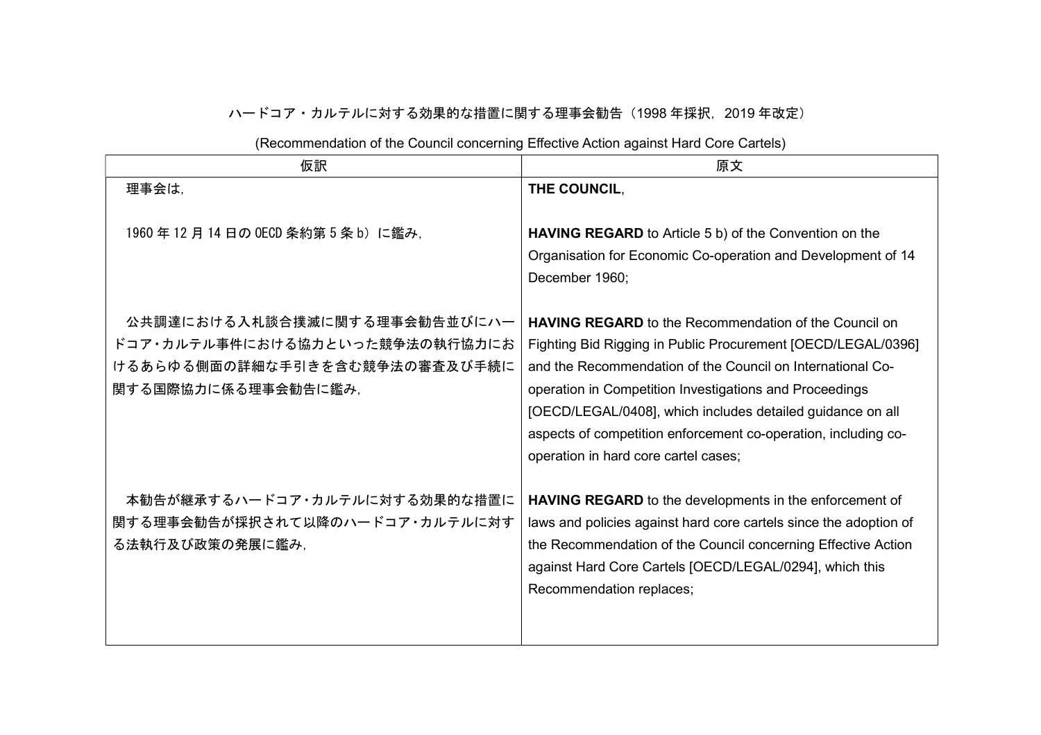## ハードコア・カルテルに対する効果的な措置に関する理事会勧告(1998 年採択,2019 年改定)

|  |  | (Recommendation of the Council concerning Effective Action against Hard Core Cartels) |
|--|--|---------------------------------------------------------------------------------------|
|  |  |                                                                                       |

| 仮訳                             | 原文                                                                |
|--------------------------------|-------------------------------------------------------------------|
| 理事会は,                          | THE COUNCIL,                                                      |
|                                |                                                                   |
| 1960年12月14日の OECD 条約第5条 b)に鑑み, | HAVING REGARD to Article 5 b) of the Convention on the            |
|                                | Organisation for Economic Co-operation and Development of 14      |
|                                | December 1960;                                                    |
|                                |                                                                   |
| 公共調達における入札談合撲滅に関する理事会勧告並びにハー   | <b>HAVING REGARD</b> to the Recommendation of the Council on      |
| ドコア・カルテル事件における協力といった競争法の執行協力にお | Fighting Bid Rigging in Public Procurement [OECD/LEGAL/0396]      |
| けるあらゆる側面の詳細な手引きを含む競争法の審査及び手続に  | and the Recommendation of the Council on International Co-        |
| 関する国際協力に係る理事会勧告に鑑み,            | operation in Competition Investigations and Proceedings           |
|                                | [OECD/LEGAL/0408], which includes detailed guidance on all        |
|                                | aspects of competition enforcement co-operation, including co-    |
|                                | operation in hard core cartel cases;                              |
|                                |                                                                   |
| 本勧告が継承するハードコア・カルテルに対する効果的な措置に  | <b>HAVING REGARD</b> to the developments in the enforcement of    |
| 関する理事会勧告が採択されて以降のハードコア・カルテルに対す | laws and policies against hard core cartels since the adoption of |
| る法執行及び政策の発展に鑑み、                | the Recommendation of the Council concerning Effective Action     |
|                                | against Hard Core Cartels [OECD/LEGAL/0294], which this           |
|                                | Recommendation replaces;                                          |
|                                |                                                                   |
|                                |                                                                   |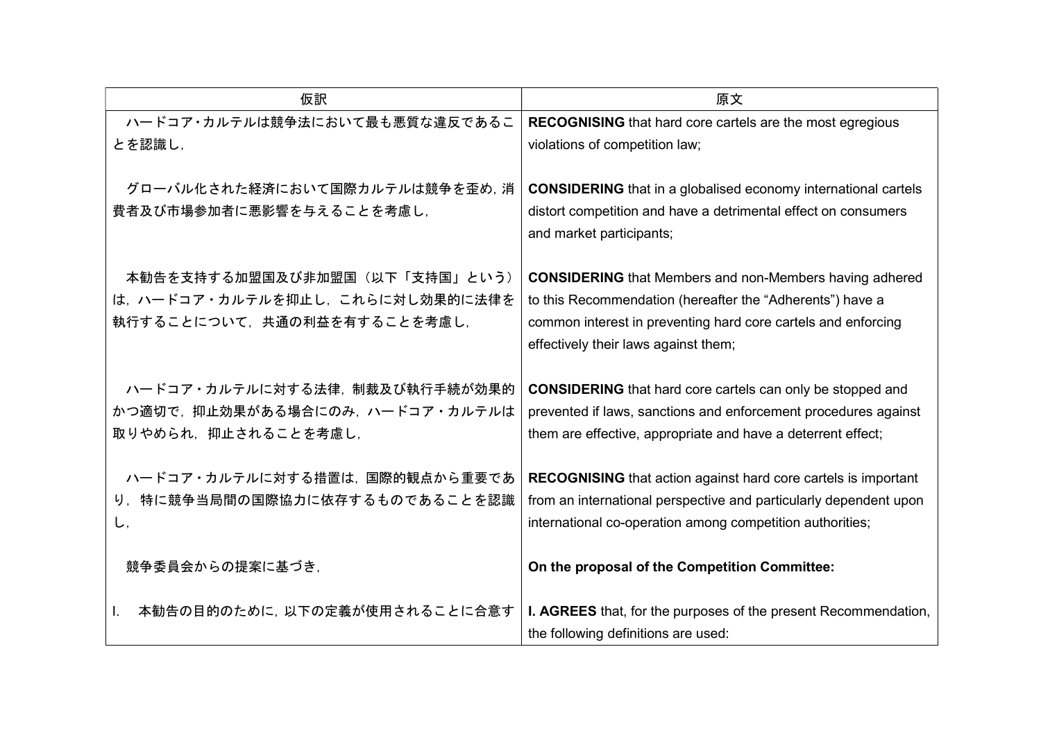| 仮訳                                                                                      | 原文                                                                                                                                                                                                   |
|-----------------------------------------------------------------------------------------|------------------------------------------------------------------------------------------------------------------------------------------------------------------------------------------------------|
| ハードコア・カルテルは競争法において最も悪質な違反であるこ                                                           | <b>RECOGNISING</b> that hard core cartels are the most egregious                                                                                                                                     |
| とを認識し,                                                                                  | violations of competition law;                                                                                                                                                                       |
| グローバル化された経済において国際カルテルは競争を歪め、消<br>費者及び市場参加者に悪影響を与えることを考慮し、                               | <b>CONSIDERING</b> that in a globalised economy international cartels<br>distort competition and have a detrimental effect on consumers<br>and market participants;                                  |
| 本勧告を支持する加盟国及び非加盟国(以下「支持国」という)                                                           | <b>CONSIDERING</b> that Members and non-Members having adhered                                                                                                                                       |
| は、ハードコア・カルテルを抑止し、これらに対し効果的に法律を                                                          | to this Recommendation (hereafter the "Adherents") have a                                                                                                                                            |
| 執行することについて、共通の利益を有することを考慮し、                                                             | common interest in preventing hard core cartels and enforcing                                                                                                                                        |
|                                                                                         | effectively their laws against them;                                                                                                                                                                 |
| ハードコア・カルテルに対する法律, 制裁及び執行手続が効果的<br>かつ適切で、抑止効果がある場合にのみ、ハードコア・カルテルは<br>取りやめられ、抑止されることを考慮し, | <b>CONSIDERING</b> that hard core cartels can only be stopped and<br>prevented if laws, sanctions and enforcement procedures against<br>them are effective, appropriate and have a deterrent effect; |
| ハードコア・カルテルに対する措置は、国際的観点から重要であ                                                           | <b>RECOGNISING</b> that action against hard core cartels is important                                                                                                                                |
| り、特に競争当局間の国際協力に依存するものであることを認識                                                           | from an international perspective and particularly dependent upon                                                                                                                                    |
| U,                                                                                      | international co-operation among competition authorities;                                                                                                                                            |
| 競争委員会からの提案に基づき,                                                                         | On the proposal of the Competition Committee:                                                                                                                                                        |
| 本勧告の目的のために、以下の定義が使用されることに合意す<br>Ι.                                                      | <b>I. AGREES</b> that, for the purposes of the present Recommendation,                                                                                                                               |
|                                                                                         | the following definitions are used:                                                                                                                                                                  |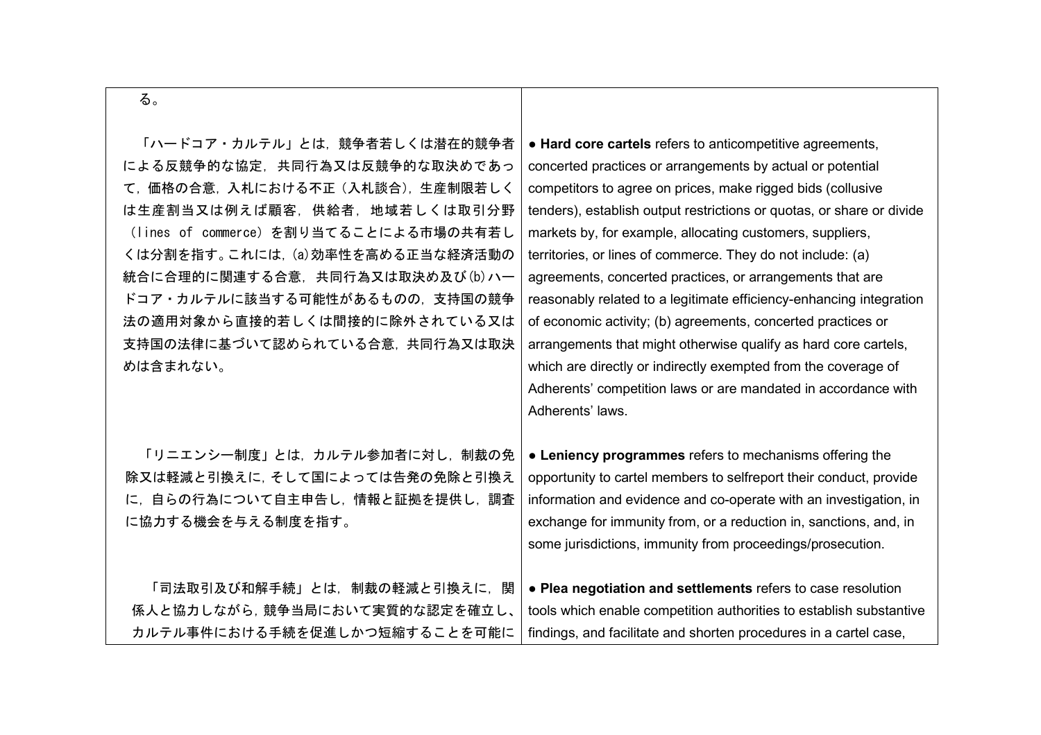| ×<br>٦<br>۰.<br>× | ٠ |
|-------------------|---|

| 「ハードコア・カルテル」とは、競争者若しくは潜在的競争者<br>による反競争的な協定,共同行為又は反競争的な取決めであっ<br>て、価格の合意、入札における不正(入札談合)、生産制限若しく<br>は生産割当又は例えば顧客,供給者,地域若しくは取引分野<br>(lines of commerce) を割り当てることによる市場の共有若し<br>くは分割を指す。これには, (a)効率性を高める正当な経済活動の<br>統合に合理的に関連する合意, 共同行為又は取決め及び(b)ハー<br>ドコア・カルテルに該当する可能性があるものの,支持国の競争<br>法の適用対象から直接的若しくは間接的に除外されている又は<br>支持国の法律に基づいて認められている合意, 共同行為又は取決<br>めは含まれない。 | • Hard core cartels refers to anticompetitive agreements,<br>concerted practices or arrangements by actual or potential<br>competitors to agree on prices, make rigged bids (collusive<br>tenders), establish output restrictions or quotas, or share or divide<br>markets by, for example, allocating customers, suppliers,<br>territories, or lines of commerce. They do not include: (a)<br>agreements, concerted practices, or arrangements that are<br>reasonably related to a legitimate efficiency-enhancing integration<br>of economic activity; (b) agreements, concerted practices or<br>arrangements that might otherwise qualify as hard core cartels,<br>which are directly or indirectly exempted from the coverage of<br>Adherents' competition laws or are mandated in accordance with<br>Adherents' laws. |
|---------------------------------------------------------------------------------------------------------------------------------------------------------------------------------------------------------------------------------------------------------------------------------------------------------------------------------------------------------------|----------------------------------------------------------------------------------------------------------------------------------------------------------------------------------------------------------------------------------------------------------------------------------------------------------------------------------------------------------------------------------------------------------------------------------------------------------------------------------------------------------------------------------------------------------------------------------------------------------------------------------------------------------------------------------------------------------------------------------------------------------------------------------------------------------------------------|
| 「リニエンシー制度」とは、カルテル参加者に対し、制裁の免                                                                                                                                                                                                                                                                                                                                  | • Leniency programmes refers to mechanisms offering the                                                                                                                                                                                                                                                                                                                                                                                                                                                                                                                                                                                                                                                                                                                                                                    |
| 除又は軽減と引換えに、そして国によっては告発の免除と引換え                                                                                                                                                                                                                                                                                                                                 | opportunity to cartel members to selfreport their conduct, provide                                                                                                                                                                                                                                                                                                                                                                                                                                                                                                                                                                                                                                                                                                                                                         |
| 自らの行為について自主申告し、情報と証拠を提供し、調査                                                                                                                                                                                                                                                                                                                                   | information and evidence and co-operate with an investigation, in                                                                                                                                                                                                                                                                                                                                                                                                                                                                                                                                                                                                                                                                                                                                                          |
| $\subset$ .                                                                                                                                                                                                                                                                                                                                                   | exchange for immunity from, or a reduction in, sanctions, and, in                                                                                                                                                                                                                                                                                                                                                                                                                                                                                                                                                                                                                                                                                                                                                          |
| に協力する機会を与える制度を指す。                                                                                                                                                                                                                                                                                                                                             | some jurisdictions, immunity from proceedings/prosecution.                                                                                                                                                                                                                                                                                                                                                                                                                                                                                                                                                                                                                                                                                                                                                                 |
| 「司法取引及び和解手続」とは,制裁の軽減と引換えに,関                                                                                                                                                                                                                                                                                                                                   | • Plea negotiation and settlements refers to case resolution                                                                                                                                                                                                                                                                                                                                                                                                                                                                                                                                                                                                                                                                                                                                                               |
| 係人と協力しながら、競争当局において実質的な認定を確立し、                                                                                                                                                                                                                                                                                                                                 | tools which enable competition authorities to establish substantive                                                                                                                                                                                                                                                                                                                                                                                                                                                                                                                                                                                                                                                                                                                                                        |
| カルテル事件における手続を促進しかつ短縮することを可能に                                                                                                                                                                                                                                                                                                                                  | findings, and facilitate and shorten procedures in a cartel case,                                                                                                                                                                                                                                                                                                                                                                                                                                                                                                                                                                                                                                                                                                                                                          |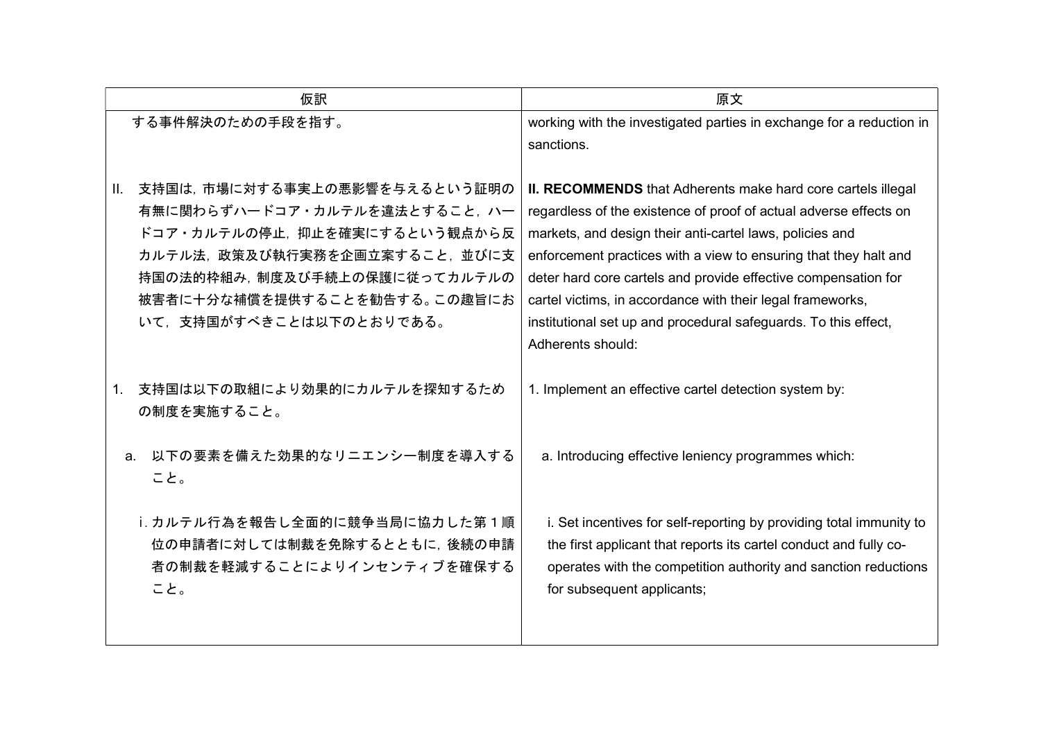| 仮訳                                                                                                                                                                                                                         | 原文                                                                                                                                                                                                                                                                                                                                                                                                                                                                                        |
|----------------------------------------------------------------------------------------------------------------------------------------------------------------------------------------------------------------------------|-------------------------------------------------------------------------------------------------------------------------------------------------------------------------------------------------------------------------------------------------------------------------------------------------------------------------------------------------------------------------------------------------------------------------------------------------------------------------------------------|
| する事件解決のための手段を指す。                                                                                                                                                                                                           | working with the investigated parties in exchange for a reduction in<br>sanctions.                                                                                                                                                                                                                                                                                                                                                                                                        |
| Ⅱ. 支持国は,市場に対する事実上の悪影響を与えるという証明の<br>有無に関わらずハードコア・カルテルを違法とすること、ハー<br>ドコア・カルテルの停止、抑止を確実にするという観点から反<br>カルテル法、政策及び執行実務を企画立案すること、並びに支<br>持国の法的枠組み,制度及び手続上の保護に従ってカルテルの<br>被害者に十分な補償を提供することを勧告する。この趣旨にお<br>いて、支持国がすべきことは以下のとおりである。 | II. RECOMMENDS that Adherents make hard core cartels illegal<br>regardless of the existence of proof of actual adverse effects on<br>markets, and design their anti-cartel laws, policies and<br>enforcement practices with a view to ensuring that they halt and<br>deter hard core cartels and provide effective compensation for<br>cartel victims, in accordance with their legal frameworks,<br>institutional set up and procedural safeguards. To this effect,<br>Adherents should: |
| 支持国は以下の取組により効果的にカルテルを探知するため<br>1.<br>の制度を実施すること。                                                                                                                                                                           | 1. Implement an effective cartel detection system by:                                                                                                                                                                                                                                                                                                                                                                                                                                     |
| 以下の要素を備えた効果的なリニエンシー制度を導入する<br>a.<br>こと。                                                                                                                                                                                    | a. Introducing effective leniency programmes which:                                                                                                                                                                                                                                                                                                                                                                                                                                       |
| i. カルテル行為を報告し全面的に競争当局に協力した第1順<br>位の申請者に対しては制裁を免除するとともに、後続の申請<br>者の制裁を軽減することによりインセンティブを確保する<br>こと。                                                                                                                          | i. Set incentives for self-reporting by providing total immunity to<br>the first applicant that reports its cartel conduct and fully co-<br>operates with the competition authority and sanction reductions<br>for subsequent applicants;                                                                                                                                                                                                                                                 |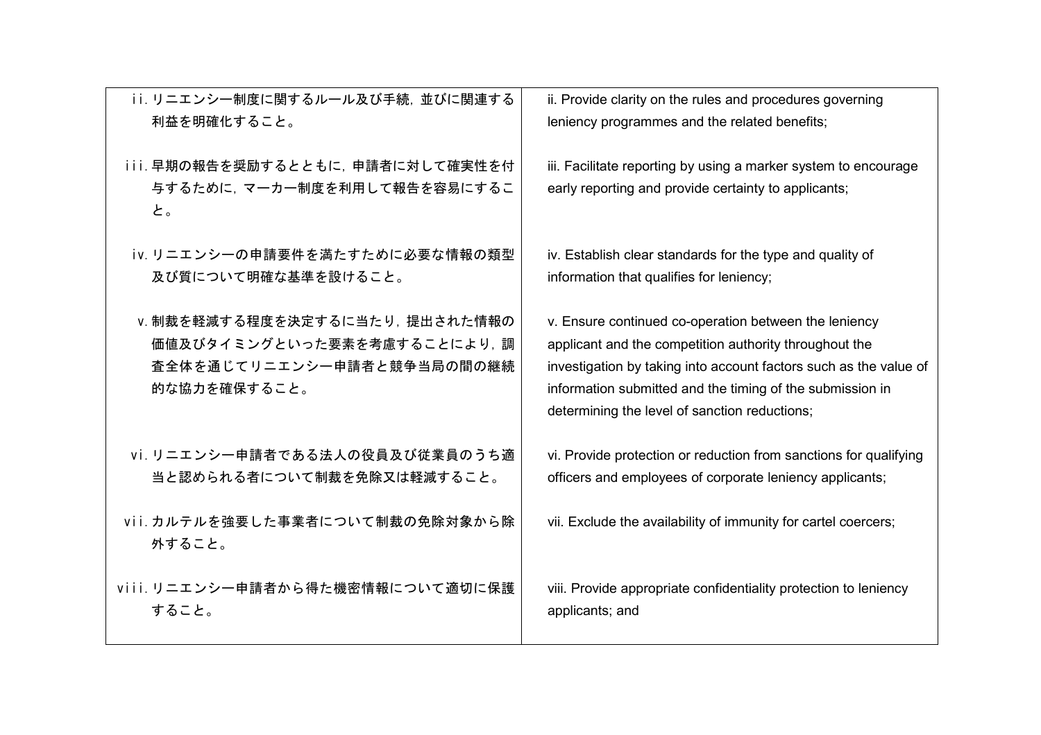| ii. リニエンシー制度に関するルール及び手続, 並びに関連する           | ii. Provide clarity on the rules and procedures governing                                                  |
|--------------------------------------------|------------------------------------------------------------------------------------------------------------|
| 利益を明確化すること。                                | leniency programmes and the related benefits;                                                              |
| iii. 早期の報告を奨励するとともに、申請者に対して確実性を付           | iii. Facilitate reporting by using a marker system to encourage                                            |
| 与するために、マーカー制度を利用して報告を容易にするこ<br>と。          | early reporting and provide certainty to applicants;                                                       |
| iv. リニエンシーの申請要件を満たすために必要な情報の類型             | iv. Establish clear standards for the type and quality of                                                  |
| 及び質について明確な基準を設けること。                        | information that qualifies for leniency;                                                                   |
| Ⅴ. 制裁を軽減する程度を決定するに当たり, 提出された情報の            | v. Ensure continued co-operation between the leniency                                                      |
| 価値及びタイミングといった要素を考慮することにより、調                | applicant and the competition authority throughout the                                                     |
| 査全体を通じてリニエンシー申請者と競争当局の間の継続<br>的な協力を確保すること。 | investigation by taking into account factors such as the value of                                          |
|                                            | information submitted and the timing of the submission in<br>determining the level of sanction reductions; |
| vi. リニエンシー申請者である法人の役員及び従業員のうち適             | vi. Provide protection or reduction from sanctions for qualifying                                          |
| 当と認められる者について制裁を免除又は軽減すること。                 | officers and employees of corporate leniency applicants;                                                   |
| vii. カルテルを強要した事業者について制裁の免除対象から除            | vii. Exclude the availability of immunity for cartel coercers;                                             |
| 外すること。                                     |                                                                                                            |
| viii. リニエンシー申請者から得た機密情報について適切に保護           | viii. Provide appropriate confidentiality protection to leniency                                           |
| すること。                                      | applicants; and                                                                                            |
|                                            |                                                                                                            |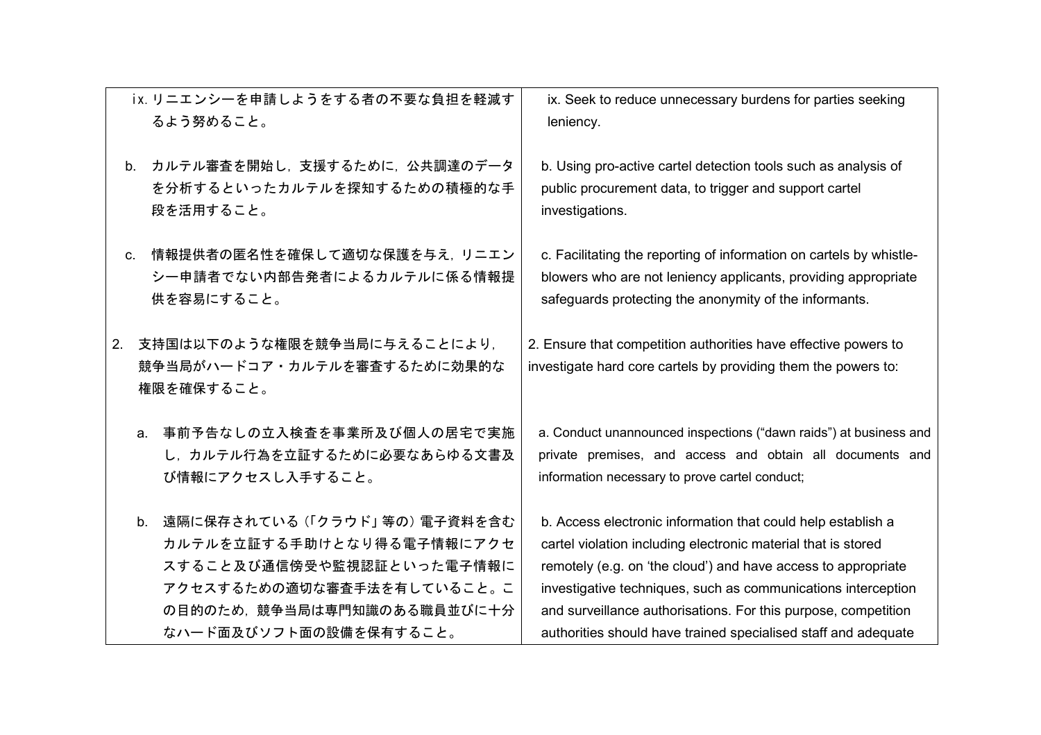|                | ix. リニエンシーを申請しようをする者の不要な負担を軽減す                                                                                                                         | ix. Seek to reduce unnecessary burdens for parties seeking                                                                                                                                                                                                                                                                        |
|----------------|--------------------------------------------------------------------------------------------------------------------------------------------------------|-----------------------------------------------------------------------------------------------------------------------------------------------------------------------------------------------------------------------------------------------------------------------------------------------------------------------------------|
|                | るよう努めること。                                                                                                                                              | leniency.                                                                                                                                                                                                                                                                                                                         |
| b <sub>1</sub> | カルテル審査を開始し、支援するために、公共調達のデータ<br>を分析するといったカルテルを探知するための積極的な手<br>段を活用すること。                                                                                 | b. Using pro-active cartel detection tools such as analysis of<br>public procurement data, to trigger and support cartel<br>investigations.                                                                                                                                                                                       |
| $C_{1}$        | 情報提供者の匿名性を確保して適切な保護を与え、リニエン                                                                                                                            | c. Facilitating the reporting of information on cartels by whistle-                                                                                                                                                                                                                                                               |
|                | シー申請者でない内部告発者によるカルテルに係る情報提                                                                                                                             | blowers who are not leniency applicants, providing appropriate                                                                                                                                                                                                                                                                    |
|                | 供を容易にすること。                                                                                                                                             | safeguards protecting the anonymity of the informants.                                                                                                                                                                                                                                                                            |
| 2.             | 支持国は以下のような権限を競争当局に与えることにより、<br>競争当局がハードコア・カルテルを審査するために効果的な<br>権限を確保すること。                                                                               | 2. Ensure that competition authorities have effective powers to<br>investigate hard core cartels by providing them the powers to:                                                                                                                                                                                                 |
|                | 事前予告なしの立入検査を事業所及び個人の居宅で実施<br>a.<br>し、カルテル行為を立証するために必要なあらゆる文書及<br>び情報にアクセスし入手すること。                                                                      | a. Conduct unannounced inspections ("dawn raids") at business and<br>private premises, and access and obtain all documents and<br>information necessary to prove cartel conduct;                                                                                                                                                  |
|                | b. 遠隔に保存されている (「クラウド」等の) 電子資料を含む<br>カルテルを立証する手助けとなり得る電子情報にアクセ<br>スすること及び通信傍受や監視認証といった電子情報に<br>アクセスするための適切な審査手法を有していること。こ<br>の目的のため、競争当局は専門知識のある職員並びに十分 | b. Access electronic information that could help establish a<br>cartel violation including electronic material that is stored<br>remotely (e.g. on 'the cloud') and have access to appropriate<br>investigative techniques, such as communications interception<br>and surveillance authorisations. For this purpose, competition |
|                | なハード面及びソフト面の設備を保有すること。                                                                                                                                 | authorities should have trained specialised staff and adequate                                                                                                                                                                                                                                                                    |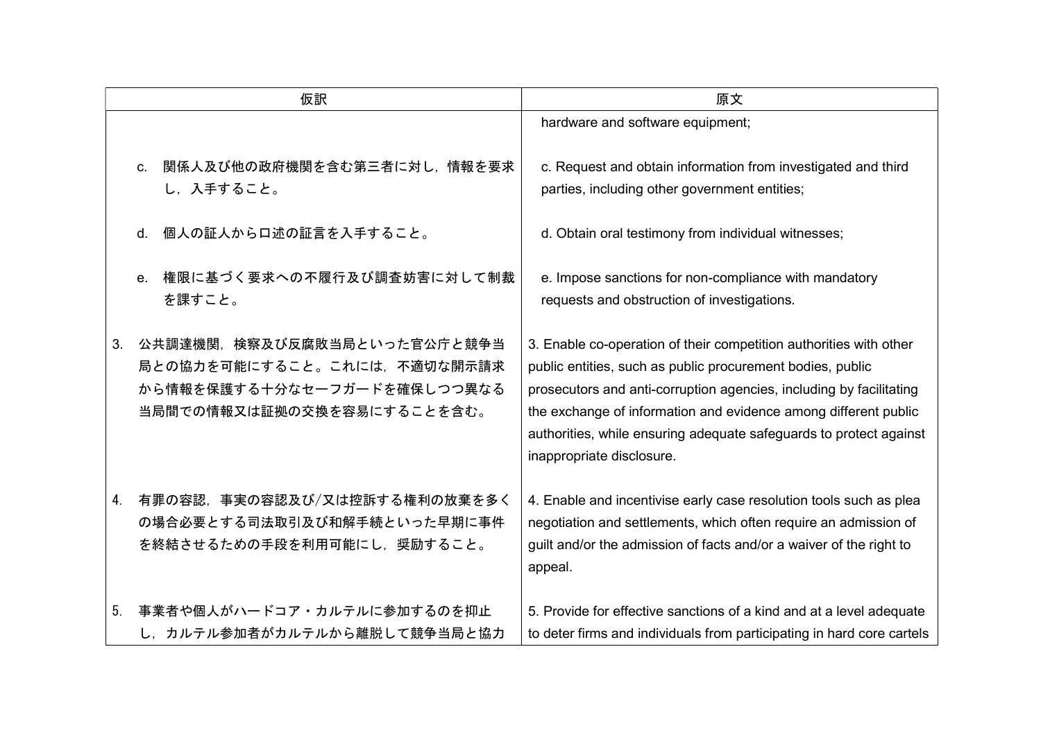| 仮訳 |                                                                                                                         | 原文                                                                                                                                                                                                                                                                                                                                                                            |
|----|-------------------------------------------------------------------------------------------------------------------------|-------------------------------------------------------------------------------------------------------------------------------------------------------------------------------------------------------------------------------------------------------------------------------------------------------------------------------------------------------------------------------|
|    |                                                                                                                         | hardware and software equipment;                                                                                                                                                                                                                                                                                                                                              |
|    | 関係人及び他の政府機関を含む第三者に対し、情報を要求<br>C <sub>r</sub><br>し、入手すること。                                                               | c. Request and obtain information from investigated and third<br>parties, including other government entities;                                                                                                                                                                                                                                                                |
|    | 個人の証人から口述の証言を入手すること。<br>d.                                                                                              | d. Obtain oral testimony from individual witnesses;                                                                                                                                                                                                                                                                                                                           |
|    | 権限に基づく要求への不履行及び調査妨害に対して制裁<br>e <sub>1</sub><br>を課すこと。                                                                   | e. Impose sanctions for non-compliance with mandatory<br>requests and obstruction of investigations.                                                                                                                                                                                                                                                                          |
| 3. | 公共調達機関、検察及び反腐敗当局といった官公庁と競争当<br>局との協力を可能にすること。これには、不適切な開示請求<br>から情報を保護する十分なセーフガードを確保しつつ異なる<br>当局間での情報又は証拠の交換を容易にすることを含む。 | 3. Enable co-operation of their competition authorities with other<br>public entities, such as public procurement bodies, public<br>prosecutors and anti-corruption agencies, including by facilitating<br>the exchange of information and evidence among different public<br>authorities, while ensuring adequate safeguards to protect against<br>inappropriate disclosure. |
| 4. | 有罪の容認,事実の容認及び/又は控訴する権利の放棄を多く<br>の場合必要とする司法取引及び和解手続といった早期に事件<br>を終結させるための手段を利用可能にし、奨励すること。                               | 4. Enable and incentivise early case resolution tools such as plea<br>negotiation and settlements, which often require an admission of<br>guilt and/or the admission of facts and/or a waiver of the right to<br>appeal.                                                                                                                                                      |
| 5. | 事業者や個人がハードコア・カルテルに参加するのを抑止<br>し、カルテル参加者がカルテルから離脱して競争当局と協力                                                               | 5. Provide for effective sanctions of a kind and at a level adequate<br>to deter firms and individuals from participating in hard core cartels                                                                                                                                                                                                                                |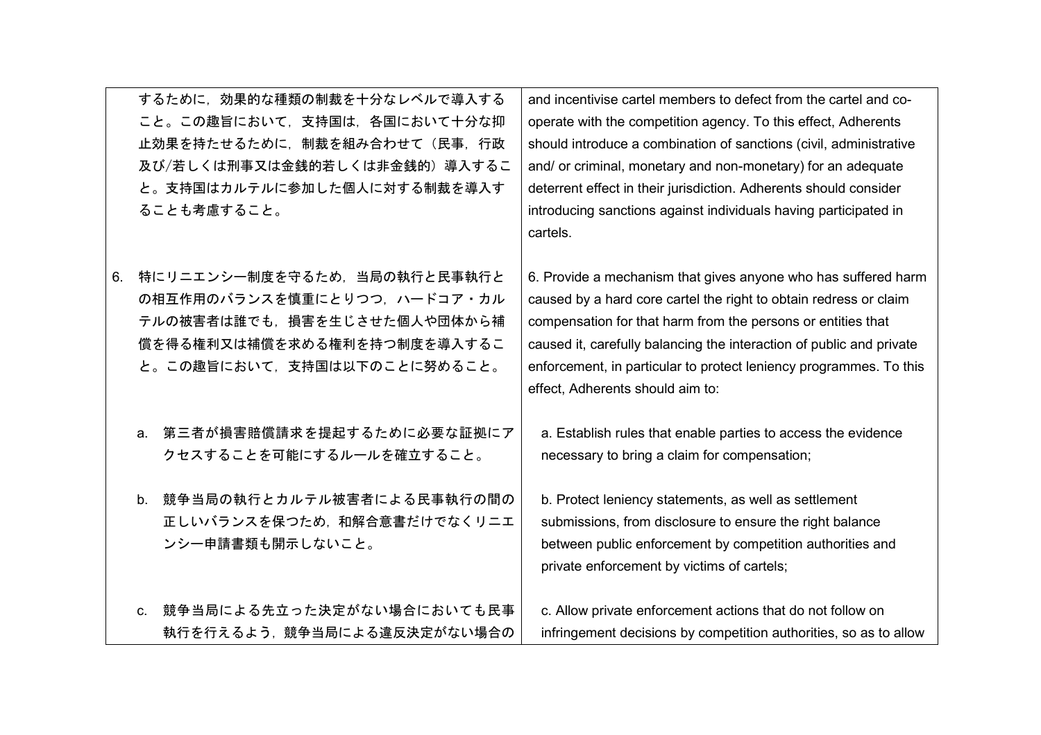|    | するために、効果的な種類の制裁を十分なレベルで導入する<br>こと。この趣旨において、支持国は、各国において十分な抑<br>止効果を持たせるために、制裁を組み合わせて(民事、行政<br>及び/若しくは刑事又は金銭的若しくは非金銭的)導入するこ<br>と。支持国はカルテルに参加した個人に対する制裁を導入す<br>ることも考慮すること。 | and incentivise cartel members to defect from the cartel and co-<br>operate with the competition agency. To this effect, Adherents<br>should introduce a combination of sanctions (civil, administrative<br>and/ or criminal, monetary and non-monetary) for an adequate<br>deterrent effect in their jurisdiction. Adherents should consider<br>introducing sanctions against individuals having participated in<br>cartels. |
|----|-------------------------------------------------------------------------------------------------------------------------------------------------------------------------|-------------------------------------------------------------------------------------------------------------------------------------------------------------------------------------------------------------------------------------------------------------------------------------------------------------------------------------------------------------------------------------------------------------------------------|
| 6. | 特にリニエンシー制度を守るため、当局の執行と民事執行と<br>の相互作用のバランスを慎重にとりつつ、ハードコア・カル<br>テルの被害者は誰でも、損害を生じさせた個人や団体から補<br>償を得る権利又は補償を求める権利を持つ制度を導入するこ<br>と。この趣旨において、支持国は以下のことに努めること。                 | 6. Provide a mechanism that gives anyone who has suffered harm<br>caused by a hard core cartel the right to obtain redress or claim<br>compensation for that harm from the persons or entities that<br>caused it, carefully balancing the interaction of public and private<br>enforcement, in particular to protect leniency programmes. To this<br>effect, Adherents should aim to:                                         |
|    | 第三者が損害賠償請求を提起するために必要な証拠にア<br>a.<br>クセスすることを可能にするルールを確立すること。                                                                                                             | a. Establish rules that enable parties to access the evidence<br>necessary to bring a claim for compensation;                                                                                                                                                                                                                                                                                                                 |
|    | 競争当局の執行とカルテル被害者による民事執行の間の<br>b.<br>正しいバランスを保つため、和解合意書だけでなくリニエ<br>ンシー申請書類も開示しないこと。                                                                                       | b. Protect leniency statements, as well as settlement<br>submissions, from disclosure to ensure the right balance<br>between public enforcement by competition authorities and<br>private enforcement by victims of cartels;                                                                                                                                                                                                  |
|    | c. 競争当局による先立った決定がない場合においても民事<br>執行を行えるよう、競争当局による違反決定がない場合の                                                                                                              | c. Allow private enforcement actions that do not follow on<br>infringement decisions by competition authorities, so as to allow                                                                                                                                                                                                                                                                                               |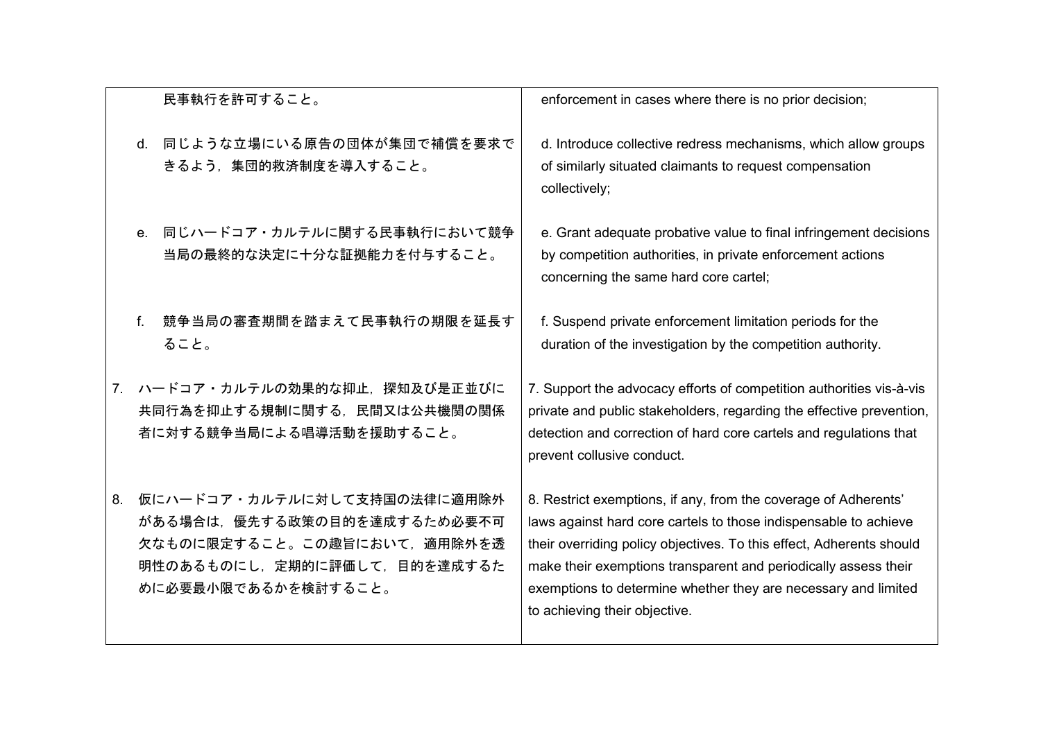| 民事執行を許可すること。                                                                                                                                          | enforcement in cases where there is no prior decision;                                                                                                                                                                                                                                                                                                                            |
|-------------------------------------------------------------------------------------------------------------------------------------------------------|-----------------------------------------------------------------------------------------------------------------------------------------------------------------------------------------------------------------------------------------------------------------------------------------------------------------------------------------------------------------------------------|
| d. 同じような立場にいる原告の団体が集団で補償を要求で<br>きるよう、集団的救済制度を導入すること。                                                                                                  | d. Introduce collective redress mechanisms, which allow groups<br>of similarly situated claimants to request compensation<br>collectively;                                                                                                                                                                                                                                        |
| 同じハードコア・カルテルに関する民事執行において競争<br>$e^+$<br>当局の最終的な決定に十分な証拠能力を付与すること。                                                                                      | e. Grant adequate probative value to final infringement decisions<br>by competition authorities, in private enforcement actions<br>concerning the same hard core cartel;                                                                                                                                                                                                          |
| 競争当局の審査期間を踏まえて民事執行の期限を延長す<br>f.<br>ること。                                                                                                               | f. Suspend private enforcement limitation periods for the<br>duration of the investigation by the competition authority.                                                                                                                                                                                                                                                          |
| 7. ハードコア・カルテルの効果的な抑止,探知及び是正並びに<br>共同行為を抑止する規制に関する、民間又は公共機関の関係<br>者に対する競争当局による唱導活動を援助すること。                                                             | 7. Support the advocacy efforts of competition authorities vis-à-vis<br>private and public stakeholders, regarding the effective prevention,<br>detection and correction of hard core cartels and regulations that<br>prevent collusive conduct.                                                                                                                                  |
| 仮にハードコア・カルテルに対して支持国の法律に適用除外<br>8.<br>がある場合は、優先する政策の目的を達成するため必要不可<br>欠なものに限定すること。この趣旨において、適用除外を透<br>明性のあるものにし、定期的に評価して、目的を達成するた<br>めに必要最小限であるかを検討すること。 | 8. Restrict exemptions, if any, from the coverage of Adherents'<br>laws against hard core cartels to those indispensable to achieve<br>their overriding policy objectives. To this effect, Adherents should<br>make their exemptions transparent and periodically assess their<br>exemptions to determine whether they are necessary and limited<br>to achieving their objective. |